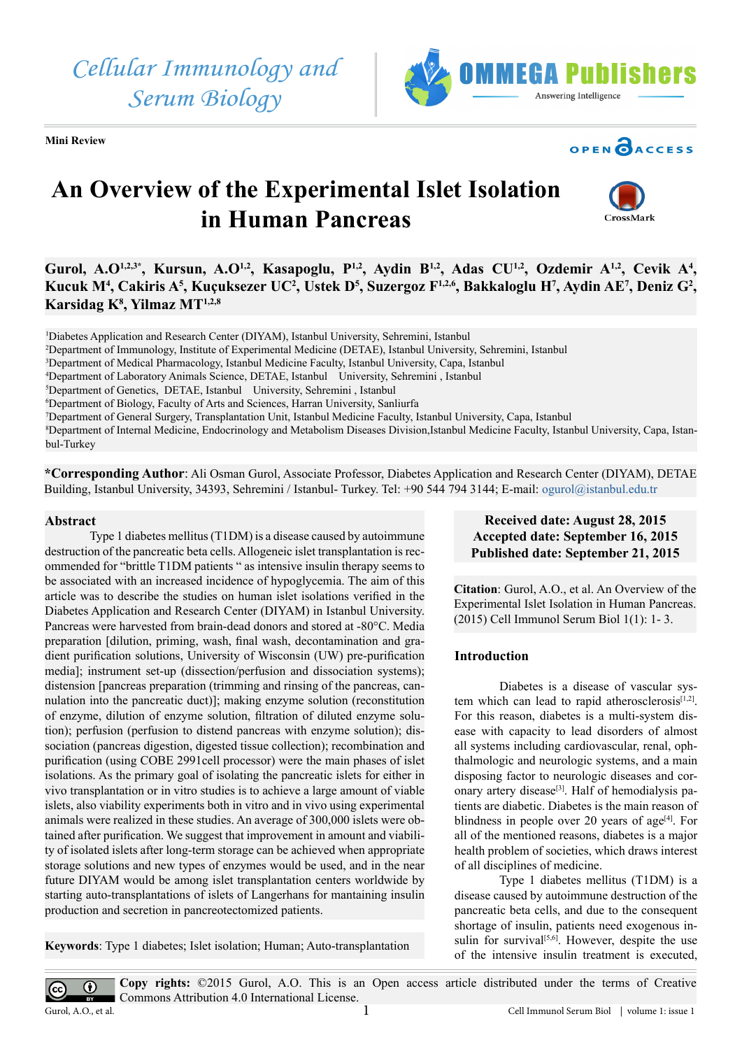*Cellular Immunology and Serum Biology*







# **An Overview of the Experimental Islet Isolation in Human Pancreas**



Gurol, A.O<sup>1,2,3\*</sup>, Kursun, A.O<sup>1,2</sup>, Kasapoglu, P<sup>1,2</sup>, Aydin B<sup>1,2</sup>, Adas CU<sup>1,2</sup>, Ozdemir A<sup>1,2</sup>, Cevik A<sup>4</sup>, Kucuk M<sup>4</sup>, Cakiris A<sup>5</sup>, Kuçuksezer UC<sup>2</sup>, Ustek D<sup>5</sup>, Suzergoz F<sup>1,2,6</sup>, Bakkaloglu H<sup>7</sup>, Aydin AE<sup>7</sup>, Deniz G<sup>2</sup>, **Karsidag K8 , Yilmaz MT1,2,8**

1 Diabetes Application and Research Center (DIYAM), Istanbul University, Sehremini, Istanbul

2 Department of Immunology, Institute of Experimental Medicine (DETAE), Istanbul University, Sehremini, Istanbul

3 Department of Medical Pharmacology, Istanbul Medicine Faculty, Istanbul University, Capa, Istanbul

4 Department of Laboratory Animals Science, DETAE, Istanbul University, Sehremini , Istanbul

5 Department of Genetics, DETAE, Istanbul University, Sehremini , Istanbul

6 Department of Biology, Faculty of Arts and Sciences, Harran University, Sanliurfa

7 Department of General Surgery, Transplantation Unit, Istanbul Medicine Faculty, Istanbul University, Capa, Istanbul

8 Department of Internal Medicine, Endocrinology and Metabolism Diseases Division,Istanbul Medicine Faculty, Istanbul University, Capa, Istanbul-Turkey

**\*Corresponding Author**: Ali Osman Gurol, Associate Professor, Diabetes Application and Research Center (DIYAM), DETAE Building, Istanbul University, 34393, Sehremini / Istanbul- Turkey. Tel: +90 544 794 3144; E-mail: [ogurol@istanbul.edu.tr](mailto:ogurol@istanbul.edu.tr)

#### **Abstract**

Type 1 diabetes mellitus (T1DM) is a disease caused by autoimmune destruction of the pancreatic beta cells. Allogeneic islet transplantation is recommended for "brittle T1DM patients " as intensive insulin therapy seems to be associated with an increased incidence of hypoglycemia. The aim of this article was to describe the studies on human islet isolations verified in the Diabetes Application and Research Center (DIYAM) in Istanbul University. Pancreas were harvested from brain-dead donors and stored at -80°C. Media preparation [dilution, priming, wash, final wash, decontamination and gradient purification solutions, University of Wisconsin (UW) pre-purification media]; instrument set-up (dissection/perfusion and dissociation systems); distension [pancreas preparation (trimming and rinsing of the pancreas, cannulation into the pancreatic duct)]; making enzyme solution (reconstitution of enzyme, dilution of enzyme solution, filtration of diluted enzyme solution); perfusion (perfusion to distend pancreas with enzyme solution); dissociation (pancreas digestion, digested tissue collection); recombination and purification (using COBE 2991cell processor) were the main phases of islet isolations. As the primary goal of isolating the pancreatic islets for either in vivo transplantation or in vitro studies is to achieve a large amount of viable islets, also viability experiments both in vitro and in vivo using experimental animals were realized in these studies. An average of 300,000 islets were obtained after purification. We suggest that improvement in amount and viability of isolated islets after long-term storage can be achieved when appropriate storage solutions and new types of enzymes would be used, and in the near future DIYAM would be among islet transplantation centers worldwide by starting auto-transplantations of islets of Langerhans for mantaining insulin production and secretion in pancreotectomized patients.

**Keywords**: Type 1 diabetes; Islet isolation; Human; Auto-transplantation

# **Received date: August 28, 2015 Accepted date: September 16, 2015 Published date: September 21, 2015**

**Citation**: Gurol, A.O., et al. An Overview of the Experimental Islet Isolation in Human Pancreas. (2015) Cell Immunol Serum Biol 1(1): 1- 3.

#### **Introduction**

Diabetes is a disease of vascular system which can lead to rapid atherosclerosis<sup>[1,2]</sup>. For this reason, diabetes is a multi-system disease with capacity to lead disorders of almost all systems including cardiovascular, renal, ophthalmologic and neurologic systems, and a main disposing factor to neurologic diseases and coronary artery disease<sup>[3]</sup>. Half of hemodialysis patients are diabetic. Diabetes is the main reason of blindness in people over 20 years of age<sup>[4]</sup>. For all of the mentioned reasons, diabetes is a major health problem of societies, which draws interest of all disciplines of medicine.

Type 1 diabetes mellitus (T1DM) is a disease caused by autoimmune destruction of the pancreatic beta cells, and due to the consequent shortage of insulin, patients need exogenous insulin for survival $[5,6]$ . However, despite the use of the intensive insulin treatment is executed,

**Copy rights:** ©2015 Gurol, A.O. This is an Open access article distributed under the terms of Creative Commons Attribution 4.0 International License.

 $(c)$ 

 $\bigcirc$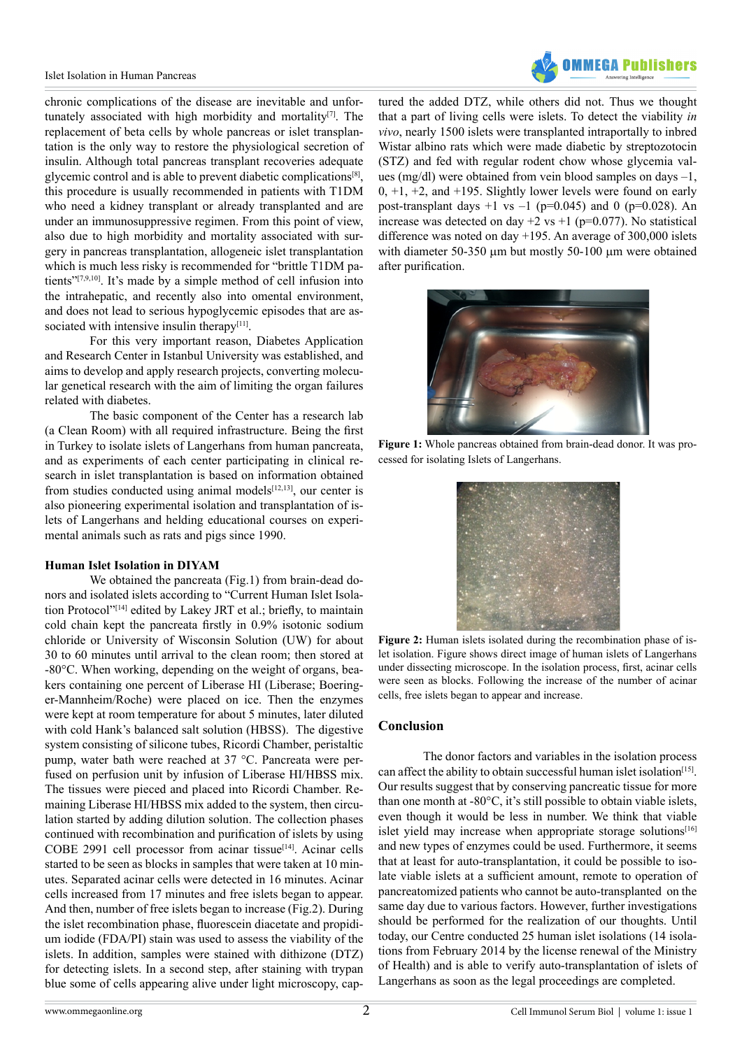

chronic complications of the disease are inevitable and unfortunately associated with high morbidity and mortality<sup>[7]</sup>. The replacement of beta cells by whole pancreas or islet transplantation is the only way to restore the physiological secretion of insulin. Although total pancreas transplant recoveries adequate glycemic control and is able to prevent diabetic complication[s\[8\]](#page-2-5), this procedure is usually recommended in patients with T1DM who need a kidney transplant or already transplanted and are under an immunosuppressive regimen. From this point of view, also due to high morbidity and mortality associated with surgery in pancreas transplantation, allogeneic islet transplantation which is much less risky is recommended for "brittle T1DM patients["\[7,9,10\].](#page-2-6) It's made by a simple method of cell infusion into the intrahepatic, and recently also into omental environment, and does not lead to serious hypoglycemic episodes that are associated with intensive insulin therapy $[11]$ .

For this very important reason, Diabetes Application and Research Center in Istanbul University was established, and aims to develop and apply research projects, converting molecular genetical research with the aim of limiting the organ failures related with diabetes.

The basic component of the Center has a research lab (a Clean Room) with all required infrastructure. Being the first in Turkey to isolate islets of Langerhans from human pancreata, and as experiments of each center participating in clinical research in islet transplantation is based on information obtained from studies conducted using animal models $[12,13]$ , our center is also pioneering experimental isolation and transplantation of islets of Langerhans and helding educational courses on experimental animals such as rats and pigs since 1990.

#### **Human Islet Isolation in DIYAM**

We obtained the pancreata (Fig.1) from brain-dead donors and isolated islets according to "Current Human Islet Isola-tion Protocol"<sup>[\[14\]](#page-2-9)</sup> edited by Lakey JRT et al.; briefly, to maintain cold chain kept the pancreata firstly in 0.9% isotonic sodium chloride or University of Wisconsin Solution (UW) for about 30 to 60 minutes until arrival to the clean room; then stored at -80°C. When working, depending on the weight of organs, beakers containing one percent of Liberase HI (Liberase; Boeringer-Mannheim/Roche) were placed on ice. Then the enzymes were kept at room temperature for about 5 minutes, later diluted with cold Hank's balanced salt solution (HBSS). The digestive system consisting of silicone tubes, Ricordi Chamber, peristaltic pump, water bath were reached at 37 °C. Pancreata were perfused on perfusion unit by infusion of Liberase HI/HBSS mix. The tissues were pieced and placed into Ricordi Chamber. Remaining Liberase HI/HBSS mix added to the system, then circulation started by adding dilution solution. The collection phases continued with recombination and purification of islets by using COBE 2991 cell processor from acinar tissue<sup>[14]</sup>. Acinar cells started to be seen as blocks in samples that were taken at 10 minutes. Separated acinar cells were detected in 16 minutes. Acinar cells increased from 17 minutes and free islets began to appear. And then, number of free islets began to increase (Fig.2). During the islet recombination phase, fluorescein diacetate and propidium iodide (FDA/PI) stain was used to assess the viability of the islets. In addition, samples were stained with dithizone (DTZ) for detecting islets. In a second step, after staining with trypan blue some of cells appearing alive under light microscopy, captured the added DTZ, while others did not. Thus we thought that a part of living cells were islets. To detect the viability *in vivo*, nearly 1500 islets were transplanted intraportally to inbred Wistar albino rats which were made diabetic by streptozotocin (STZ) and fed with regular rodent chow whose glycemia values (mg/dl) were obtained from vein blood samples on days –1,  $0, +1, +2,$  and  $+195$ . Slightly lower levels were found on early post-transplant days  $+1$  vs  $-1$  (p=0.045) and 0 (p=0.028). An increase was detected on day  $+2$  vs  $+1$  (p=0.077). No statistical difference was noted on day +195. An average of 300,000 islets with diameter 50-350  $\mu$ m but mostly 50-100  $\mu$ m were obtained after purification.



**Figure 1:** Whole pancreas obtained from brain-dead donor. It was processed for isolating Islets of Langerhans.



**Figure 2:** Human islets isolated during the recombination phase of islet isolation. Figure shows direct image of human islets of Langerhans under dissecting microscope. In the isolation process, first, acinar cells were seen as blocks. Following the increase of the number of acinar cells, free islets began to appear and increase.

### **Conclusion**

The donor factors and variables in the isolation process can affect the ability to obtain successful human islet isolation<sup>[15]</sup>. Our results suggest that by conserving pancreatic tissue for more than one month at -80°C, it's still possible to obtain viable islets, even though it would be less in number. We think that viable islet yield may increase when appropriate storage solutions $[16]$ and new types of enzymes could be used. Furthermore, it seems that at least for auto-transplantation, it could be possible to isolate viable islets at a sufficient amount, remote to operation of pancreatomized patients who cannot be auto-transplanted on the same day due to various factors. However, further investigations should be performed for the realization of our thoughts. Until today, our Centre conducted 25 human islet isolations (14 isolations from February 2014 by the license renewal of the Ministry of Health) and is able to verify auto-transplantation of islets of Langerhans as soon as the legal proceedings are completed.